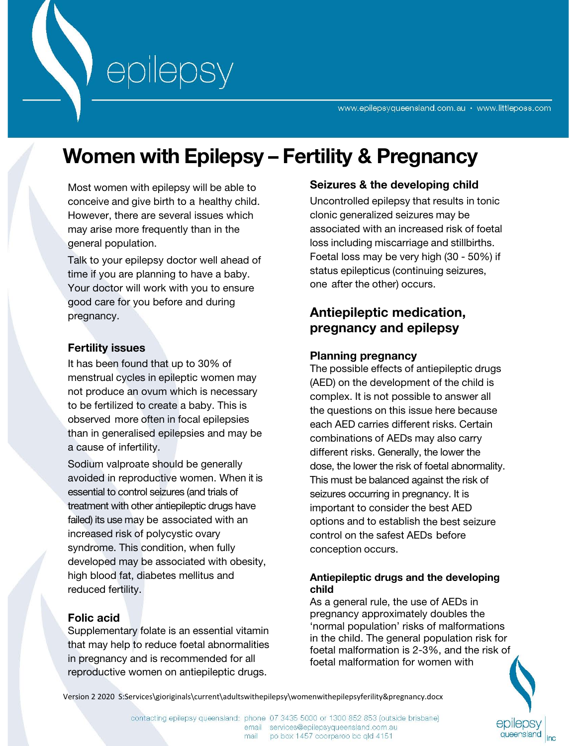www.epilepsyqueensland.com.au • www.littleposs.com

# **Women with Epilepsy – Fertility & Pregnancy**

Most women with epilepsy will be able to conceive and give birth to a healthy child. However, there are several issues which may arise more frequently than in the general population.

Talk to your epilepsy doctor well ahead of time if you are planning to have a baby. Your doctor will work with you to ensure good care for you before and during pregnancy.

## **Fertility issues**

It has been found that up to 30% of menstrual cycles in epileptic women may not produce an ovum which is necessary to be fertilized to create a baby. This is observed more often in focal epilepsies than in generalised epilepsies and may be a cause of infertility.

Sodium valproate should be generally avoided in reproductive women. When it is essential to control seizures (and trials of treatment with other antiepileptic drugs have failed) its use may be associated with an increased risk of polycystic ovary syndrome. This condition, when fully developed may be associated with obesity, high blood fat, diabetes mellitus and reduced fertility.

# **Folic acid**

Supplementary folate is an essential vitamin that may help to reduce foetal abnormalities in pregnancy and is recommended for all reproductive women on antiepileptic drugs.

# **Seizures & the developing child**

Uncontrolled epilepsy that results in tonic clonic generalized seizures may be associated with an increased risk of foetal loss including miscarriage and stillbirths. Foetal loss may be very high (30 - 50%) if status epilepticus (continuing seizures, one after the other) occurs.

# **Antiepileptic medication, pregnancy and epilepsy**

#### **Planning pregnancy**

The possible effects of antiepileptic drugs (AED) on the development of the child is complex. It is not possible to answer all the questions on this issue here because each AED carries different risks. Certain combinations of AEDs may also carry different risks. Generally, the lower the dose, the lower the risk of foetal abnormality. This must be balanced against the risk of seizures occurring in pregnancy. It is important to consider the best AED options and to establish the best seizure control on the safest AEDs before conception occurs.

#### **Antiepileptic drugs and the developing child**

As a general rule, the use of AEDs in pregnancy approximately doubles the 'normal population' risks of malformations in the child. The general population risk for foetal malformation is 2-3%, and the risk of foetal malformation for women with



Version 2 2020 S:Services\gioriginals\current\adultswithepilepsy\womenwithepilepsyferility&pregnancy.docx